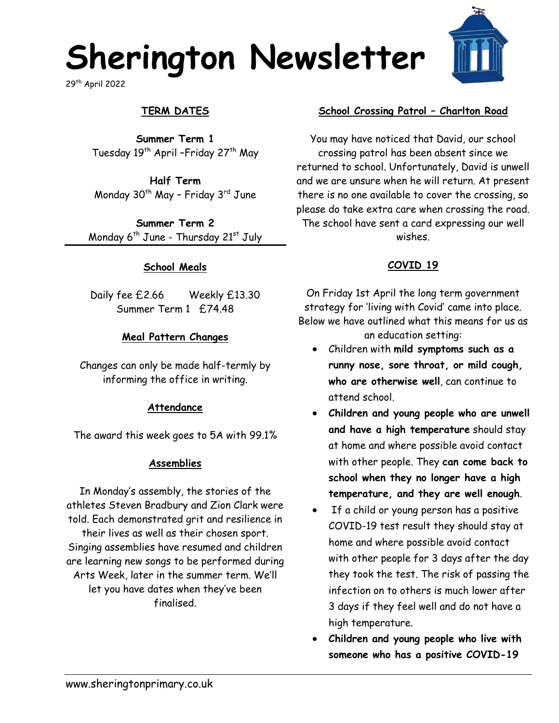# **Sherington Newsletter**

29th April 2022

# **TERM DATES**

**Summer Term 1** Tuesday 19<sup>th</sup> April –Friday 27<sup>th</sup> May

**Half Term** Monday  $30<sup>th</sup>$  May - Friday  $3<sup>rd</sup>$  June

**Summer Term 2** Monday  $6^{th}$  June - Thursday  $21^{st}$  July

#### **School Meals**

Daily fee £2.66 Weekly £13.30 Summer Term 1 £74.48

#### **Meal Pattern Changes**

Changes can only be made half-termly by informing the office in writing.

#### **Attendance**

The award this week goes to 5A with 99.1%

#### **Assemblies**

In Monday's assembly, the stories of the athletes Steven Bradbury and Zion Clark were told. Each demonstrated grit and resilience in their lives as well as their chosen sport. Singing assemblies have resumed and children are learning new songs to be performed during Arts Week, later in the summer term. We'll let you have dates when they've been finalised.

#### **School Crossing Patrol – Charlton Road**

You may have noticed that David, our school crossing patrol has been absent since we returned to school. Unfortunately, David is unwell and we are unsure when he will return. At present there is no one available to cover the crossing, so please do take extra care when crossing the road. The school have sent a card expressing our well wishes.

## **COVID 19**

On Friday 1st April the long term government strategy for 'living with Covid' came into place. Below we have outlined what this means for us as

- an education setting:
- Children with **mild symptoms such as a runny nose, sore throat, or mild cough, who are otherwise well**, can continue to attend school.
- **Children and young people who are unwell and have a high temperature** should stay at home and where possible avoid contact with other people. They **can come back to school when they no longer have a high temperature, and they are well enough**.
- If a child or young person has a positive COVID-19 test result they should stay at home and where possible avoid contact with other people for 3 days after the day they took the test. The risk of passing the infection on to others is much lower after 3 days if they feel well and do not have a high temperature.
- **Children and young people who live with someone who has a positive COVID-19**